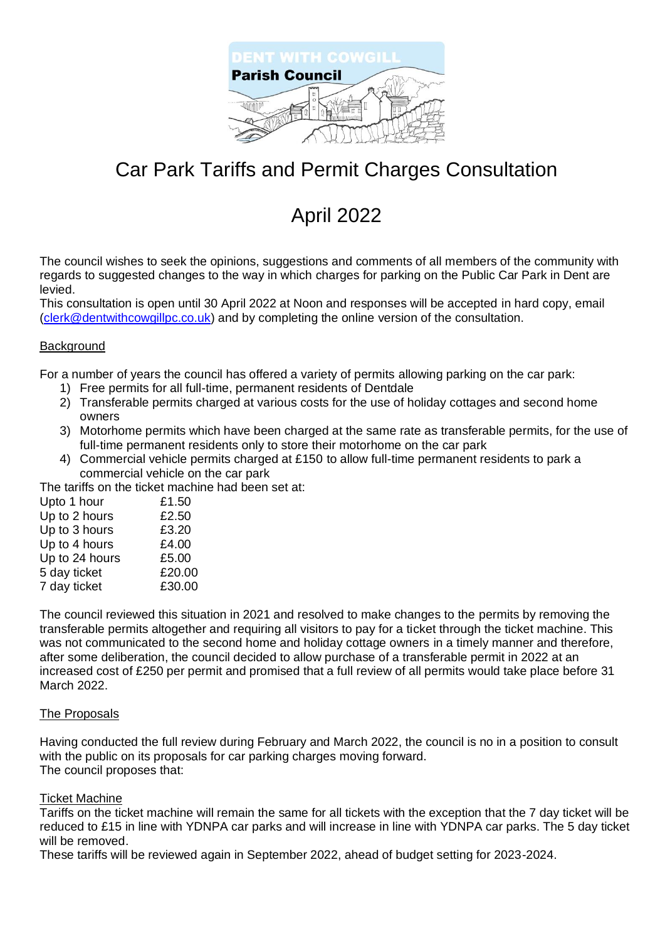

## Car Park Tariffs and Permit Charges Consultation

# April 2022

The council wishes to seek the opinions, suggestions and comments of all members of the community with regards to suggested changes to the way in which charges for parking on the Public Car Park in Dent are levied.

This consultation is open until 30 April 2022 at Noon and responses will be accepted in hard copy, email [\(clerk@dentwithcowgillpc.co.uk\)](mailto:clerk@dentwithcowgillpc.co.uk) and by completing the online version of the consultation.

## Background

For a number of years the council has offered a variety of permits allowing parking on the car park:

- 1) Free permits for all full-time, permanent residents of Dentdale
- 2) Transferable permits charged at various costs for the use of holiday cottages and second home owners
- 3) Motorhome permits which have been charged at the same rate as transferable permits, for the use of full-time permanent residents only to store their motorhome on the car park
- 4) Commercial vehicle permits charged at £150 to allow full-time permanent residents to park a commercial vehicle on the car park

The tariffs on the ticket machine had been set at:

| Upto 1 hour    | £1.50  |
|----------------|--------|
| Up to 2 hours  | £2.50  |
| Up to 3 hours  | £3.20  |
| Up to 4 hours  | £4.00  |
| Up to 24 hours | £5.00  |
| 5 day ticket   | £20.00 |
| 7 day ticket   | £30.00 |

The council reviewed this situation in 2021 and resolved to make changes to the permits by removing the transferable permits altogether and requiring all visitors to pay for a ticket through the ticket machine. This was not communicated to the second home and holiday cottage owners in a timely manner and therefore, after some deliberation, the council decided to allow purchase of a transferable permit in 2022 at an increased cost of £250 per permit and promised that a full review of all permits would take place before 31 March 2022.

### The Proposals

Having conducted the full review during February and March 2022, the council is no in a position to consult with the public on its proposals for car parking charges moving forward. The council proposes that:

### Ticket Machine

Tariffs on the ticket machine will remain the same for all tickets with the exception that the 7 day ticket will be reduced to £15 in line with YDNPA car parks and will increase in line with YDNPA car parks. The 5 day ticket will be removed.

These tariffs will be reviewed again in September 2022, ahead of budget setting for 2023-2024.